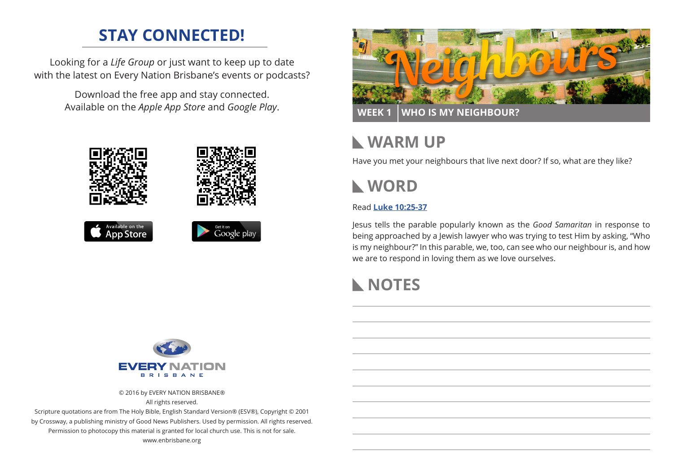# **STAY CONNECTED!**

Looking for a *Life Group* or just want to keep up to date with the latest on Every Nation Brisbane's events or podcasts?

> Download the free app and stay connected. Available on the *Apple App Store* and *Google Play*.





**WEEK 1 WHO IS MY NEIGHBOUR?**

# **WARM UP**

Have you met your neighbours that live next door? If so, what are they like?



Read **[Luke 10:25-37](https://www.biblegateway.com/passage/?search=Luke+10%3A25-37&version=ESV)**

Jesus tells the parable popularly known as the *Good Samaritan* in response to being approached by a Jewish lawyer who was trying to test Him by asking, "Who is my neighbour?" In this parable, we, too, can see who our neighbour is, and how we are to respond in loving them as we love ourselves.

## **NOTES**



© 2016 by EVERY NATION BRISBANE®

All rights reserved.

Scripture quotations are from The Holy Bible, English Standard Version® (ESV®), Copyright © 2001 by Crossway, a publishing ministry of Good News Publishers. Used by permission. All rights reserved. Permission to photocopy this material is granted for local church use. This is not for sale. www.enbrisbane.org